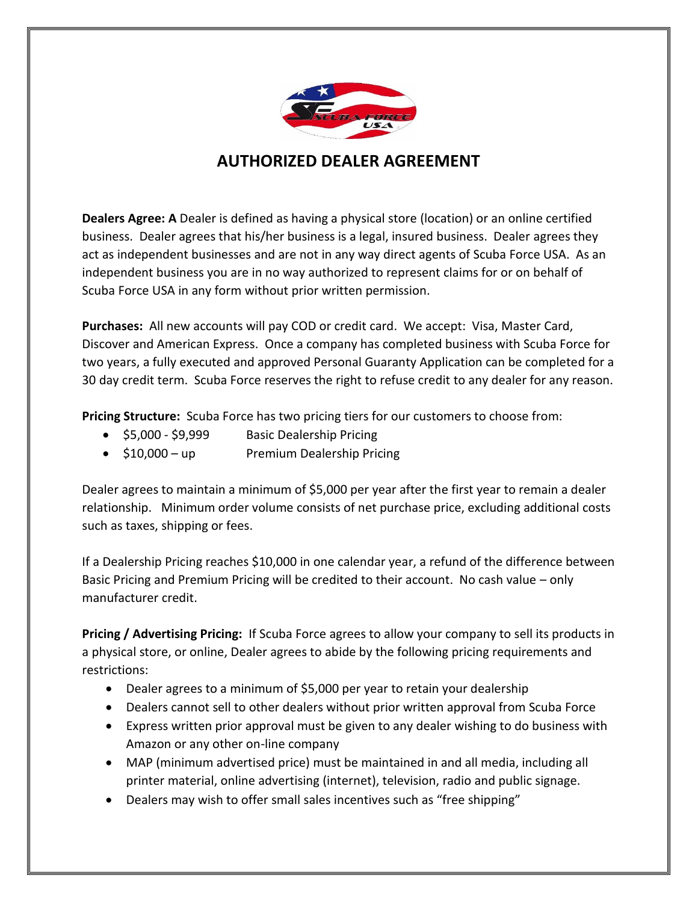

## **AUTHORIZED DEALER AGREEMENT**

**Dealers Agree: A** Dealer is defined as having a physical store (location) or an online certified business. Dealer agrees that his/her business is a legal, insured business. Dealer agrees they act as independent businesses and are not in any way direct agents of Scuba Force USA. As an independent business you are in no way authorized to represent claims for or on behalf of Scuba Force USA in any form without prior written permission.

**Purchases:** All new accounts will pay COD or credit card. We accept: Visa, Master Card, Discover and American Express. Once a company has completed business with Scuba Force for two years, a fully executed and approved Personal Guaranty Application can be completed for a 30 day credit term. Scuba Force reserves the right to refuse credit to any dealer for any reason.

**Pricing Structure:** Scuba Force has two pricing tiers for our customers to choose from:

- \$5,000 \$9,999 Basic Dealership Pricing
- \$10,000 up Premium Dealership Pricing

Dealer agrees to maintain a minimum of \$5,000 per year after the first year to remain a dealer relationship. Minimum order volume consists of net purchase price, excluding additional costs such as taxes, shipping or fees.

If a Dealership Pricing reaches \$10,000 in one calendar year, a refund of the difference between Basic Pricing and Premium Pricing will be credited to their account. No cash value – only manufacturer credit.

**Pricing / Advertising Pricing:** If Scuba Force agrees to allow your company to sell its products in a physical store, or online, Dealer agrees to abide by the following pricing requirements and restrictions:

- Dealer agrees to a minimum of \$5,000 per year to retain your dealership
- Dealers cannot sell to other dealers without prior written approval from Scuba Force
- Express written prior approval must be given to any dealer wishing to do business with Amazon or any other on-line company
- MAP (minimum advertised price) must be maintained in and all media, including all printer material, online advertising (internet), television, radio and public signage.
- Dealers may wish to offer small sales incentives such as "free shipping"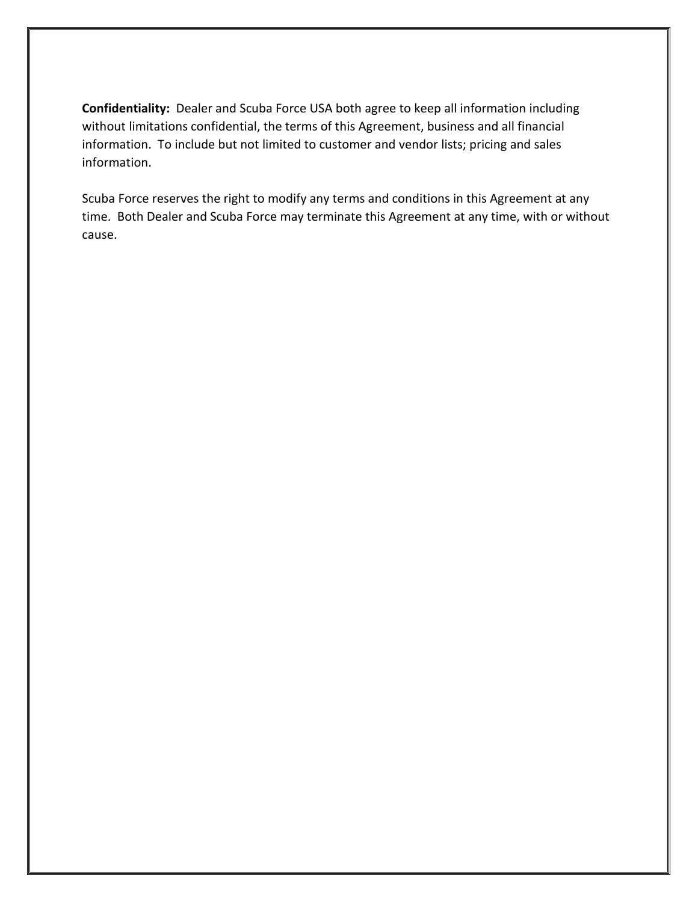**Confidentiality:** Dealer and Scuba Force USA both agree to keep all information including without limitations confidential, the terms of this Agreement, business and all financial information. To include but not limited to customer and vendor lists; pricing and sales information.

Scuba Force reserves the right to modify any terms and conditions in this Agreement at any time. Both Dealer and Scuba Force may terminate this Agreement at any time, with or without cause.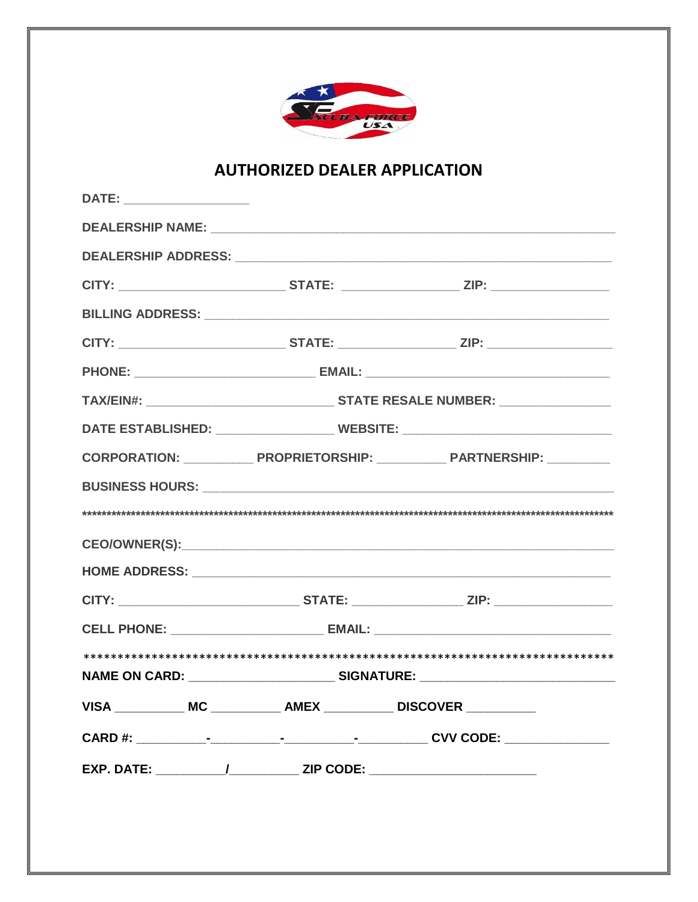

## **AUTHORIZED DEALER APPLICATION**

| CITY: _________________________________STATE: _______________________ZIP: _________________________ |
|-----------------------------------------------------------------------------------------------------|
|                                                                                                     |
|                                                                                                     |
|                                                                                                     |
|                                                                                                     |
| CITY: _________________________________STATE: _______________________ZIP: _________________________ |
|                                                                                                     |
|                                                                                                     |
| DATE ESTABLISHED: _________________________ WEBSITE: ___________________________                    |
|                                                                                                     |
|                                                                                                     |
|                                                                                                     |
|                                                                                                     |
|                                                                                                     |
|                                                                                                     |
| CELL PHONE: _____________________________ EMAIL: _______________________________                    |
|                                                                                                     |
|                                                                                                     |
| VISA _____________ MC _____________ AMEX ____________ DISCOVER ___________                          |
|                                                                                                     |
| EXP. DATE: _____________/______________ ZIP CODE: ______________________________                    |
|                                                                                                     |
|                                                                                                     |
|                                                                                                     |
|                                                                                                     |